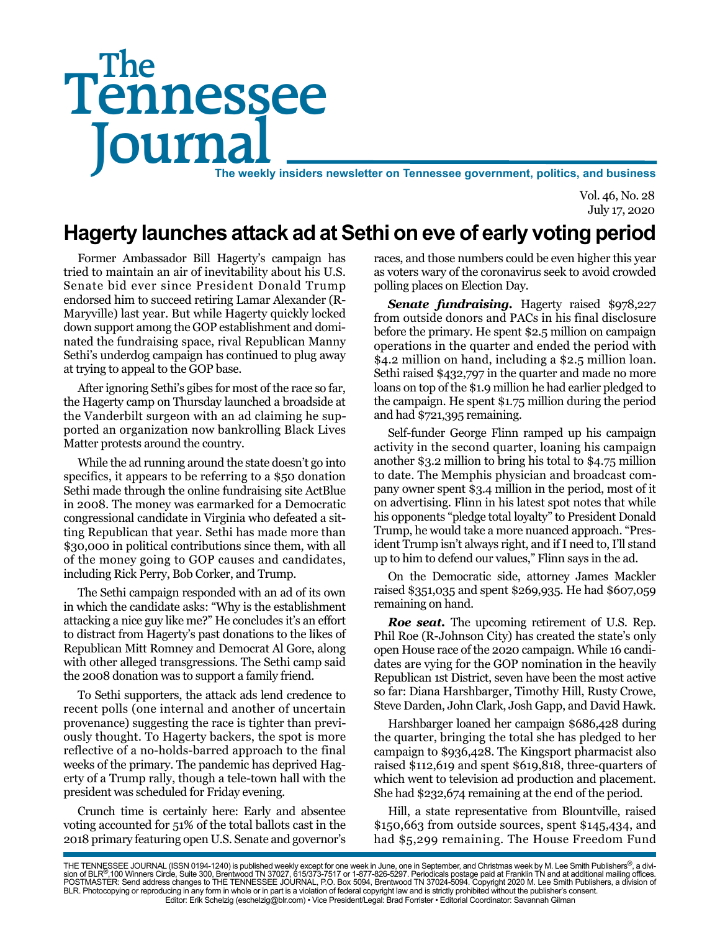# Tennessee **Journal** The weekly insiders newsletter on Tennessee government, politics, and business The

Vol. 46, No. 28 July 17, 2020

## **Hagerty launches attack ad at Sethi on eve of early voting period**

Former Ambassador Bill Hagerty's campaign has tried to maintain an air of inevitability about his U.S. Senate bid ever since President Donald Trump endorsed him to succeed retiring Lamar Alexander (R-Maryville) last year. But while Hagerty quickly locked down support among the GOP establishment and dominated the fundraising space, rival Republican Manny Sethi's underdog campaign has continued to plug away at trying to appeal to the GOP base.

After ignoring Sethi's gibes for most of the race so far, the Hagerty camp on Thursday launched a broadside at the Vanderbilt surgeon with an ad claiming he supported an organization now bankrolling Black Lives Matter protests around the country.

While the ad running around the state doesn't go into specifics, it appears to be referring to a \$50 donation Sethi made through the online fundraising site ActBlue in 2008. The money was earmarked for a Democratic congressional candidate in Virginia who defeated a sitting Republican that year. Sethi has made more than \$30,000 in political contributions since them, with all of the money going to GOP causes and candidates, including Rick Perry, Bob Corker, and Trump.

The Sethi campaign responded with an ad of its own in which the candidate asks: "Why is the establishment attacking a nice guy like me?" He concludes it's an effort to distract from Hagerty's past donations to the likes of Republican Mitt Romney and Democrat Al Gore, along with other alleged transgressions. The Sethi camp said the 2008 donation was to support a family friend.

To Sethi supporters, the attack ads lend credence to recent polls (one internal and another of uncertain provenance) suggesting the race is tighter than previously thought. To Hagerty backers, the spot is more reflective of a no-holds-barred approach to the final weeks of the primary. The pandemic has deprived Hagerty of a Trump rally, though a tele-town hall with the president was scheduled for Friday evening.

Crunch time is certainly here: Early and absentee voting accounted for 51% of the total ballots cast in the 2018 primary featuring open U.S. Senate and governor's races, and those numbers could be even higher this year as voters wary of the coronavirus seek to avoid crowded polling places on Election Day.

*Senate fundraising.* Hagerty raised \$978,227 from outside donors and PACs in his final disclosure before the primary. He spent \$2.5 million on campaign operations in the quarter and ended the period with \$4.2 million on hand, including a \$2.5 million loan. Sethi raised \$432,797 in the quarter and made no more loans on top of the \$1.9 million he had earlier pledged to the campaign. He spent \$1.75 million during the period and had \$721,395 remaining.

Self-funder George Flinn ramped up his campaign activity in the second quarter, loaning his campaign another \$3.2 million to bring his total to \$4.75 million to date. The Memphis physician and broadcast company owner spent \$3.4 million in the period, most of it on advertising. Flinn in his latest spot notes that while his opponents "pledge total loyalty" to President Donald Trump, he would take a more nuanced approach. "President Trump isn't always right, and if I need to, I'll stand up to him to defend our values," Flinn says in the ad.

On the Democratic side, attorney James Mackler raised \$351,035 and spent \$269,935. He had \$607,059 remaining on hand.

*Roe seat.* The upcoming retirement of U.S. Rep. Phil Roe (R-Johnson City) has created the state's only open House race of the 2020 campaign. While 16 candidates are vying for the GOP nomination in the heavily Republican 1st District, seven have been the most active so far: Diana Harshbarger, Timothy Hill, Rusty Crowe, Steve Darden, John Clark, Josh Gapp, and David Hawk.

Harshbarger loaned her campaign \$686,428 during the quarter, bringing the total she has pledged to her campaign to \$936,428. The Kingsport pharmacist also raised \$112,619 and spent \$619,818, three-quarters of which went to television ad production and placement. She had \$232,674 remaining at the end of the period.

Hill, a state representative from Blountville, raised \$150,663 from outside sources, spent \$145,434, and had \$5,299 remaining. The House Freedom Fund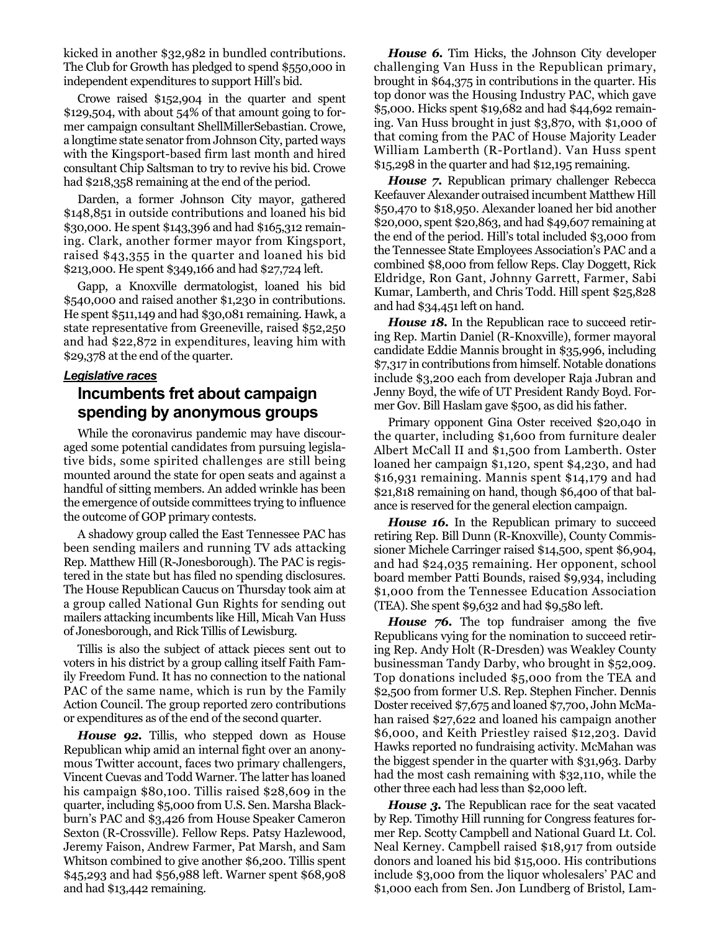kicked in another \$32,982 in bundled contributions. The Club for Growth has pledged to spend \$550,000 in independent expenditures to support Hill's bid.

Crowe raised \$152,904 in the quarter and spent \$129,504, with about 54% of that amount going to former campaign consultant ShellMillerSebastian. Crowe, a longtime state senator from Johnson City, parted ways with the Kingsport-based firm last month and hired consultant Chip Saltsman to try to revive his bid. Crowe had \$218,358 remaining at the end of the period.

Darden, a former Johnson City mayor, gathered \$148,851 in outside contributions and loaned his bid \$30,000. He spent \$143,396 and had \$165,312 remaining. Clark, another former mayor from Kingsport, raised \$43,355 in the quarter and loaned his bid \$213,000. He spent \$349,166 and had \$27,724 left.

Gapp, a Knoxville dermatologist, loaned his bid \$540,000 and raised another \$1,230 in contributions. He spent \$511,149 and had \$30,081 remaining. Hawk, a state representative from Greeneville, raised \$52,250 and had \$22,872 in expenditures, leaving him with \$29,378 at the end of the quarter.

#### *Legislative races*

#### **Incumbents fret about campaign spending by anonymous groups**

While the coronavirus pandemic may have discouraged some potential candidates from pursuing legislative bids, some spirited challenges are still being mounted around the state for open seats and against a handful of sitting members. An added wrinkle has been the emergence of outside committees trying to influence the outcome of GOP primary contests.

A shadowy group called the East Tennessee PAC has been sending mailers and running TV ads attacking Rep. Matthew Hill (R-Jonesborough). The PAC is registered in the state but has filed no spending disclosures. The House Republican Caucus on Thursday took aim at a group called National Gun Rights for sending out mailers attacking incumbents like Hill, Micah Van Huss of Jonesborough, and Rick Tillis of Lewisburg.

Tillis is also the subject of attack pieces sent out to voters in his district by a group calling itself Faith Family Freedom Fund. It has no connection to the national PAC of the same name, which is run by the Family Action Council. The group reported zero contributions or expenditures as of the end of the second quarter.

*House 92.* Tillis, who stepped down as House Republican whip amid an internal fight over an anonymous Twitter account, faces two primary challengers, Vincent Cuevas and Todd Warner. The latter has loaned his campaign \$80,100. Tillis raised \$28,609 in the quarter, including \$5,000 from U.S. Sen. Marsha Blackburn's PAC and \$3,426 from House Speaker Cameron Sexton (R-Crossville). Fellow Reps. Patsy Hazlewood, Jeremy Faison, Andrew Farmer, Pat Marsh, and Sam Whitson combined to give another \$6,200. Tillis spent \$45,293 and had \$56,988 left. Warner spent \$68,908 and had \$13,442 remaining.

*House 6.* Tim Hicks, the Johnson City developer challenging Van Huss in the Republican primary, brought in \$64,375 in contributions in the quarter. His top donor was the Housing Industry PAC, which gave \$5,000. Hicks spent \$19,682 and had \$44,692 remaining. Van Huss brought in just \$3,870, with \$1,000 of that coming from the PAC of House Majority Leader William Lamberth (R-Portland). Van Huss spent \$15,298 in the quarter and had \$12,195 remaining.

*House 7.* Republican primary challenger Rebecca Keefauver Alexander outraised incumbent Matthew Hill \$50,470 to \$18,950. Alexander loaned her bid another \$20,000, spent \$20,863, and had \$49,607 remaining at the end of the period. Hill's total included \$3,000 from the Tennessee State Employees Association's PAC and a combined \$8,000 from fellow Reps. Clay Doggett, Rick Eldridge, Ron Gant, Johnny Garrett, Farmer, Sabi Kumar, Lamberth, and Chris Todd. Hill spent \$25,828 and had \$34,451 left on hand.

*House 18.* In the Republican race to succeed retiring Rep. Martin Daniel (R-Knoxville), former mayoral candidate Eddie Mannis brought in \$35,996, including \$7,317 in contributions from himself. Notable donations include \$3,200 each from developer Raja Jubran and Jenny Boyd, the wife of UT President Randy Boyd. Former Gov. Bill Haslam gave \$500, as did his father.

Primary opponent Gina Oster received \$20,040 in the quarter, including \$1,600 from furniture dealer Albert McCall II and \$1,500 from Lamberth. Oster loaned her campaign \$1,120, spent \$4,230, and had \$16,931 remaining. Mannis spent \$14,179 and had \$21,818 remaining on hand, though \$6,400 of that balance is reserved for the general election campaign.

*House 16.* In the Republican primary to succeed retiring Rep. Bill Dunn (R-Knoxville), County Commissioner Michele Carringer raised \$14,500, spent \$6,904, and had \$24,035 remaining. Her opponent, school board member Patti Bounds, raised \$9,934, including \$1,000 from the Tennessee Education Association (TEA). She spent \$9,632 and had \$9,580 left.

*House 76.* The top fundraiser among the five Republicans vying for the nomination to succeed retiring Rep. Andy Holt (R-Dresden) was Weakley County businessman Tandy Darby, who brought in \$52,009. Top donations included \$5,000 from the TEA and \$2,500 from former U.S. Rep. Stephen Fincher. Dennis Doster received \$7,675 and loaned \$7,700, John McMahan raised \$27,622 and loaned his campaign another \$6,000, and Keith Priestley raised \$12,203. David Hawks reported no fundraising activity. McMahan was the biggest spender in the quarter with \$31,963. Darby had the most cash remaining with \$32,110, while the other three each had less than \$2,000 left.

*House 3.* The Republican race for the seat vacated by Rep. Timothy Hill running for Congress features former Rep. Scotty Campbell and National Guard Lt. Col. Neal Kerney. Campbell raised \$18,917 from outside donors and loaned his bid \$15,000. His contributions include \$3,000 from the liquor wholesalers' PAC and \$1,000 each from Sen. Jon Lundberg of Bristol, Lam-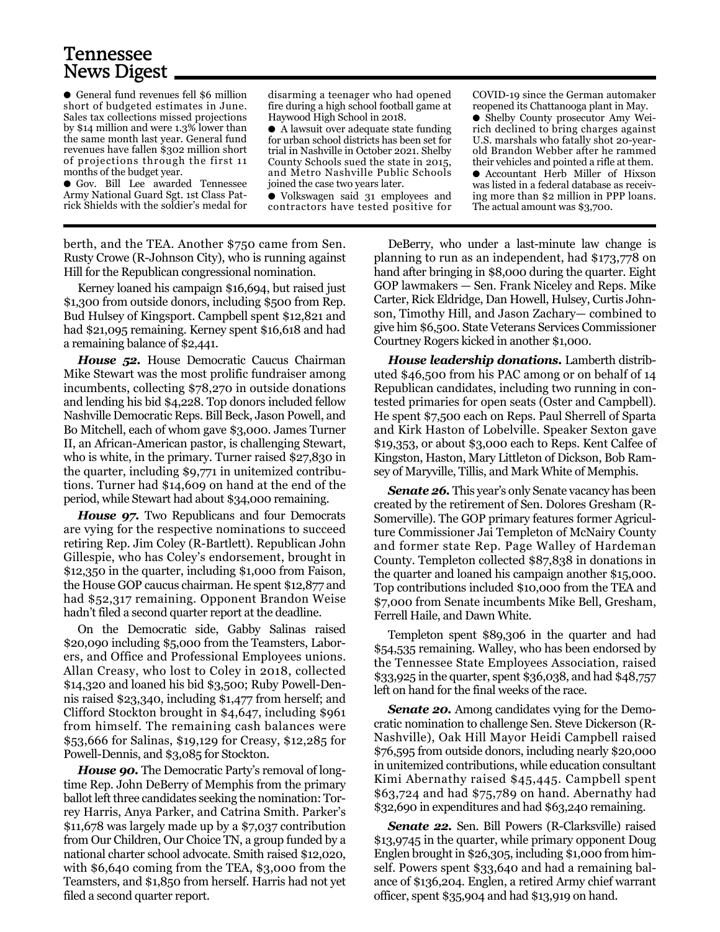### Tennessee News Digest

● General fund revenues fell \$6 million short of budgeted estimates in June. Sales tax collections missed projections by \$14 million and were 1.3% lower than the same month last year. General fund revenues have fallen \$302 million short of projections through the first 11 months of the budget year.

● Gov. Bill Lee awarded Tennessee Army National Guard Sgt. 1st Class Patrick Shields with the soldier's medal for

disarming a teenager who had opened fire during a high school football game at Haywood High School in 2018.

● A lawsuit over adequate state funding for urban school districts has been set for trial in Nashville in October 2021. Shelby County Schools sued the state in 2015, and Metro Nashville Public Schools joined the case two years later.

● Volkswagen said 31 employees and contractors have tested positive for

COVID-19 since the German automaker reopened its Chattanooga plant in May.

● Shelby County prosecutor Amy Weirich declined to bring charges against U.S. marshals who fatally shot 20-yearold Brandon Webber after he rammed their vehicles and pointed a rifle at them. ● Accountant Herb Miller of Hixson was listed in a federal database as receiving more than \$2 million in PPP loans. The actual amount was \$3,700.

berth, and the TEA. Another \$750 came from Sen. Rusty Crowe (R-Johnson City), who is running against Hill for the Republican congressional nomination.

Kerney loaned his campaign \$16,694, but raised just \$1,300 from outside donors, including \$500 from Rep. Bud Hulsey of Kingsport. Campbell spent \$12,821 and had \$21,095 remaining. Kerney spent \$16,618 and had a remaining balance of \$2,441.

*House 52.* House Democratic Caucus Chairman Mike Stewart was the most prolific fundraiser among incumbents, collecting \$78,270 in outside donations and lending his bid \$4,228. Top donors included fellow Nashville Democratic Reps. Bill Beck, Jason Powell, and Bo Mitchell, each of whom gave \$3,000. James Turner II, an African-American pastor, is challenging Stewart, who is white, in the primary. Turner raised \$27,830 in the quarter, including \$9,771 in unitemized contributions. Turner had \$14,609 on hand at the end of the period, while Stewart had about \$34,000 remaining.

*House 97.* Two Republicans and four Democrats are vying for the respective nominations to succeed retiring Rep. Jim Coley (R-Bartlett). Republican John Gillespie, who has Coley's endorsement, brought in \$12,350 in the quarter, including \$1,000 from Faison, the House GOP caucus chairman. He spent \$12,877 and had \$52,317 remaining. Opponent Brandon Weise hadn't filed a second quarter report at the deadline.

On the Democratic side, Gabby Salinas raised \$20,090 including \$5,000 from the Teamsters, Laborers, and Office and Professional Employees unions. Allan Creasy, who lost to Coley in 2018, collected \$14,320 and loaned his bid \$3,500; Ruby Powell-Dennis raised \$23,340, including \$1,477 from herself; and Clifford Stockton brought in \$4,647, including \$961 from himself. The remaining cash balances were \$53,666 for Salinas, \$19,129 for Creasy, \$12,285 for Powell-Dennis, and \$3,085 for Stockton.

*House 90.* The Democratic Party's removal of longtime Rep. John DeBerry of Memphis from the primary ballot left three candidates seeking the nomination: Torrey Harris, Anya Parker, and Catrina Smith. Parker's \$11,678 was largely made up by a \$7,037 contribution from Our Children, Our Choice TN, a group funded by a national charter school advocate. Smith raised \$12,020, with \$6,640 coming from the TEA, \$3,000 from the Teamsters, and \$1,850 from herself. Harris had not yet filed a second quarter report.

DeBerry, who under a last-minute law change is planning to run as an independent, had \$173,778 on hand after bringing in \$8,000 during the quarter. Eight GOP lawmakers — Sen. Frank Niceley and Reps. Mike Carter, Rick Eldridge, Dan Howell, Hulsey, Curtis Johnson, Timothy Hill, and Jason Zachary— combined to give him \$6,500. State Veterans Services Commissioner Courtney Rogers kicked in another \$1,000.

*House leadership donations.* Lamberth distributed \$46,500 from his PAC among or on behalf of 14 Republican candidates, including two running in contested primaries for open seats (Oster and Campbell). He spent \$7,500 each on Reps. Paul Sherrell of Sparta and Kirk Haston of Lobelville. Speaker Sexton gave \$19,353, or about \$3,000 each to Reps. Kent Calfee of Kingston, Haston, Mary Littleton of Dickson, Bob Ramsey of Maryville, Tillis, and Mark White of Memphis.

**Senate 26.** This year's only Senate vacancy has been created by the retirement of Sen. Dolores Gresham (R-Somerville). The GOP primary features former Agriculture Commissioner Jai Templeton of McNairy County and former state Rep. Page Walley of Hardeman County. Templeton collected \$87,838 in donations in the quarter and loaned his campaign another \$15,000. Top contributions included \$10,000 from the TEA and \$7,000 from Senate incumbents Mike Bell, Gresham, Ferrell Haile, and Dawn White.

Templeton spent \$89,306 in the quarter and had \$54,535 remaining. Walley, who has been endorsed by the Tennessee State Employees Association, raised \$33,925 in the quarter, spent \$36,038, and had \$48,757 left on hand for the final weeks of the race.

*Senate 20.* Among candidates vying for the Democratic nomination to challenge Sen. Steve Dickerson (R-Nashville), Oak Hill Mayor Heidi Campbell raised \$76,595 from outside donors, including nearly \$20,000 in unitemized contributions, while education consultant Kimi Abernathy raised \$45,445. Campbell spent \$63,724 and had \$75,789 on hand. Abernathy had \$32,690 in expenditures and had \$63,240 remaining.

*Senate 22.* Sen. Bill Powers (R-Clarksville) raised \$13,9745 in the quarter, while primary opponent Doug Englen brought in \$26,305, including \$1,000 from himself. Powers spent \$33,640 and had a remaining balance of \$136,204. Englen, a retired Army chief warrant officer, spent \$35,904 and had \$13,919 on hand.